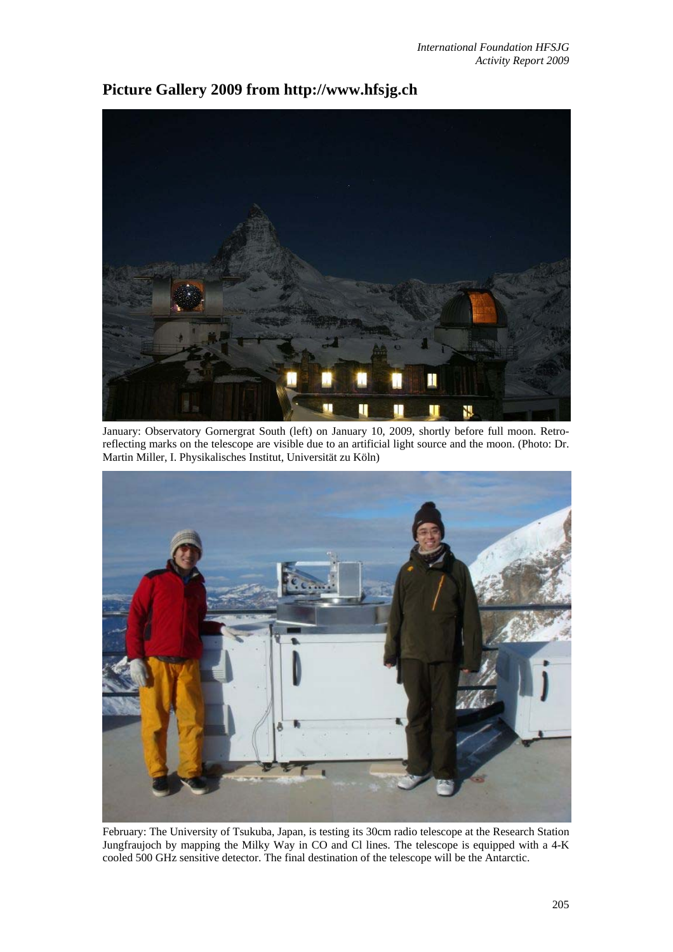## П

January: Observatory Gornergrat South (left) on January 10, 2009, shortly before full moon. Retroreflecting marks on the telescope are visible due to an artificial light source and the moon. (Photo: Dr. Martin Miller, I. Physikalisches Institut, Universität zu Köln)



February: The University of Tsukuba, Japan, is testing its 30cm radio telescope at the Research Station Jungfraujoch by mapping the Milky Way in CO and Cl lines. The telescope is equipped with a 4-K cooled 500 GHz sensitive detector. The final destination of the telescope will be the Antarctic.

## **Picture Gallery 2009 from http://www.hfsjg.ch**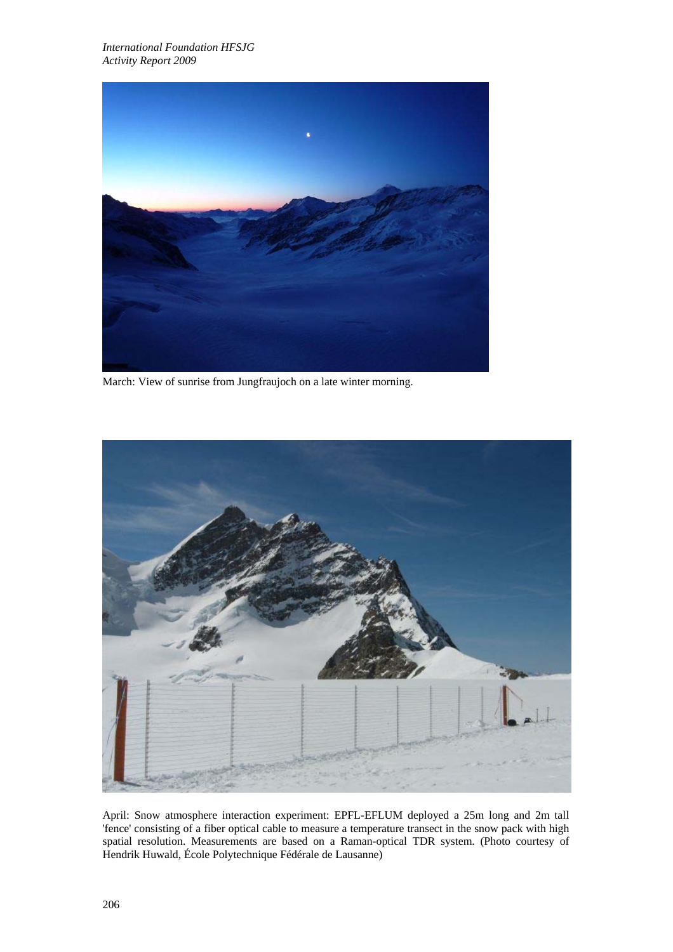

March: View of sunrise from Jungfraujoch on a late winter morning.



April: Snow atmosphere interaction experiment: EPFL-EFLUM deployed a 25m long and 2m tall 'fence' consisting of a fiber optical cable to measure a temperature transect in the snow pack with high spatial resolution. Measurements are based on a Raman-optical TDR system. (Photo courtesy of Hendrik Huwald, École Polytechnique Fédérale de Lausanne)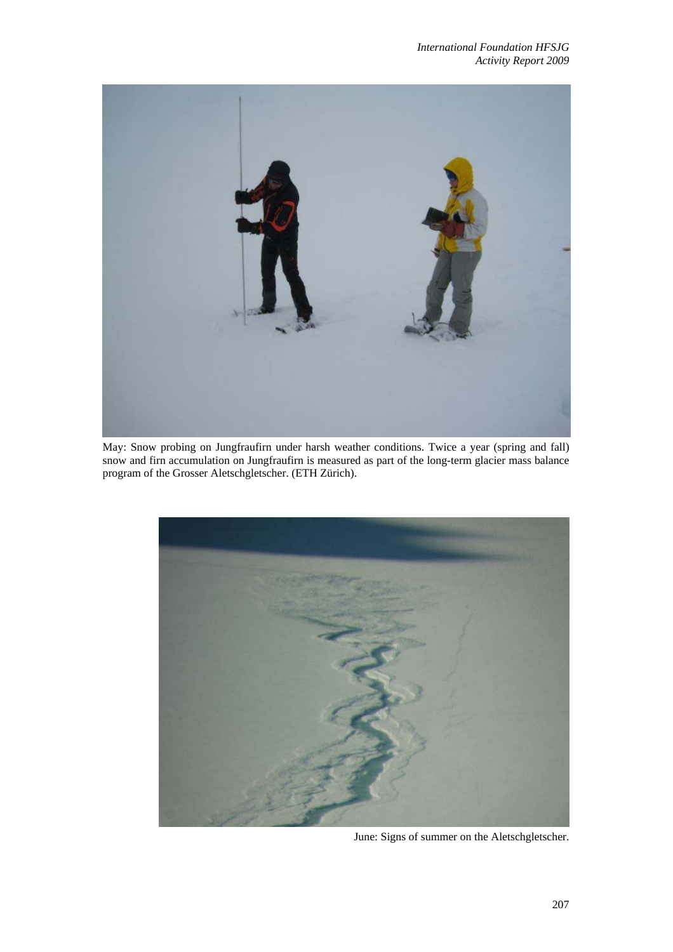

May: Snow probing on Jungfraufirn under harsh weather conditions. Twice a year (spring and fall) snow and firn accumulation on Jungfraufirn is measured as part of the long-term glacier mass balance program of the Grosser Aletschgletscher. (ETH Zürich).



June: Signs of summer on the Aletschgletscher.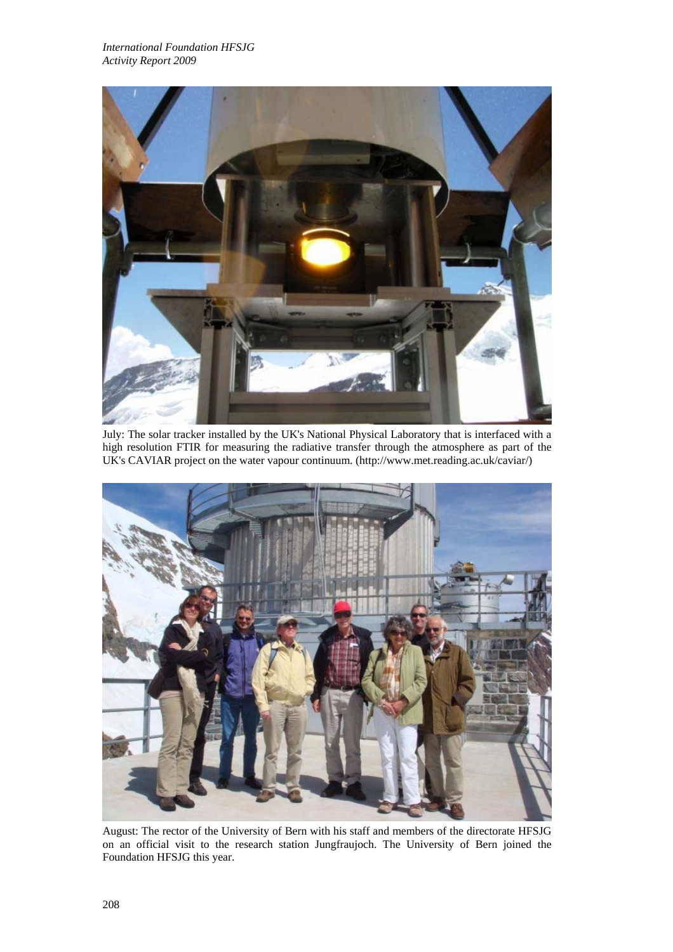

July: The solar tracker installed by the UK's National Physical Laboratory that is interfaced with a high resolution FTIR for measuring the radiative transfer through the atmosphere as part of the UK's CAVIAR project on the water vapour continuum. (http://www.met.reading.ac.uk/caviar/)



August: The rector of the University of Bern with his staff and members of the directorate HFSJG on an official visit to the research station Jungfraujoch. The University of Bern joined the Foundation HFSJG this year.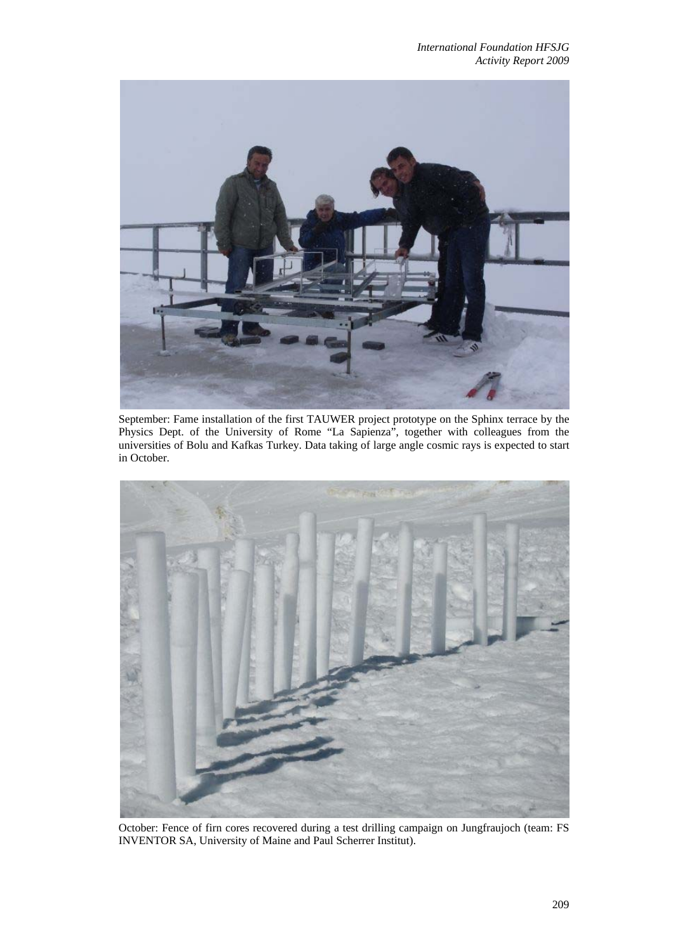

September: Fame installation of the first TAUWER project prototype on the Sphinx terrace by the Physics Dept. of the University of Rome "La Sapienza", together with colleagues from the universities of Bolu and Kafkas Turkey. Data taking of large angle cosmic rays is expected to start in October.



October: Fence of firn cores recovered during a test drilling campaign on Jungfraujoch (team: FS INVENTOR SA, University of Maine and Paul Scherrer Institut).